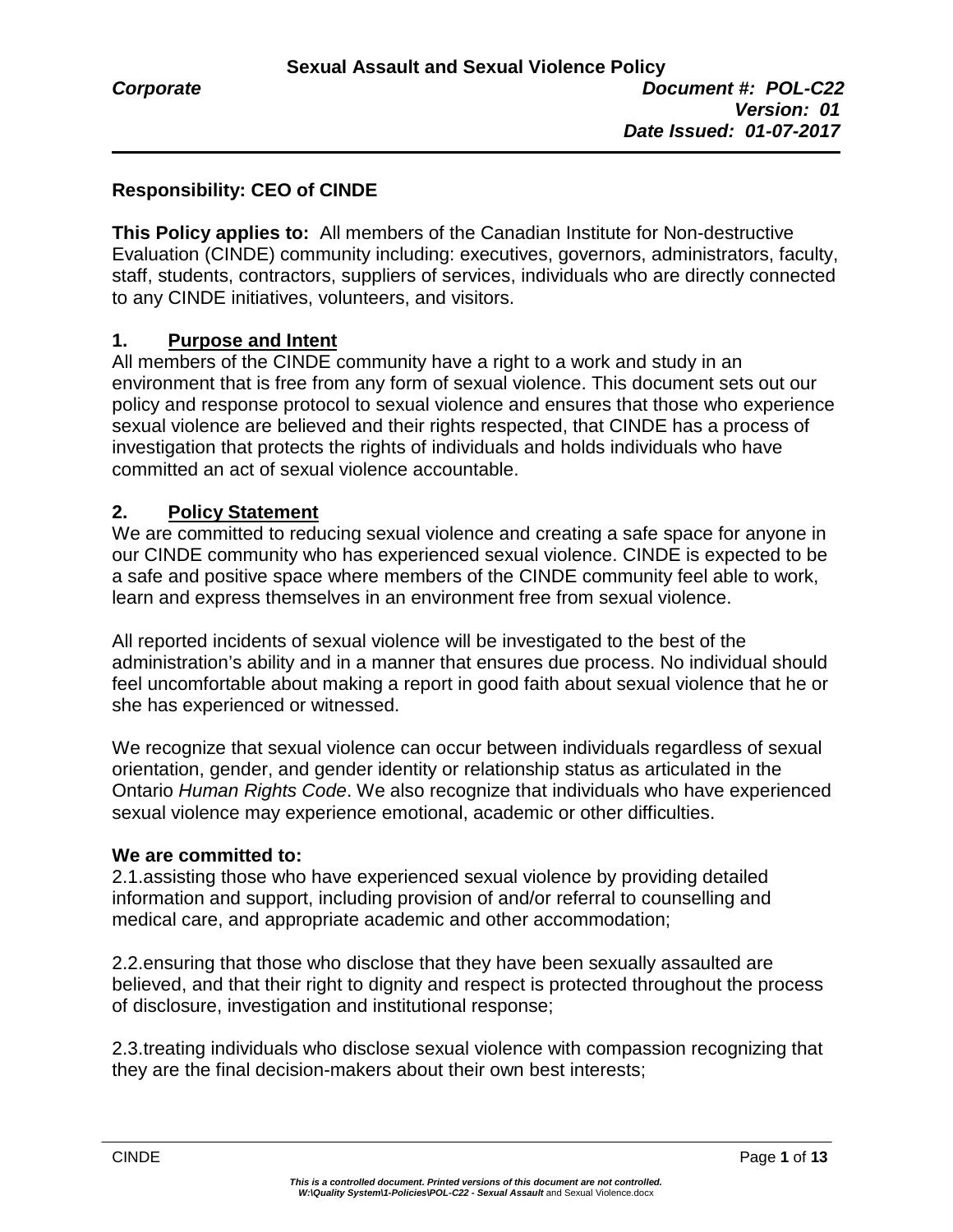# **Responsibility: CEO of CINDE**

**This Policy applies to:** All members of the Canadian Institute for Non-destructive Evaluation (CINDE) community including: executives, governors, administrators, faculty, staff, students, contractors, suppliers of services, individuals who are directly connected to any CINDE initiatives, volunteers, and visitors.

#### **1. Purpose and Intent**

All members of the CINDE community have a right to a work and study in an environment that is free from any form of sexual violence. This document sets out our policy and response protocol to sexual violence and ensures that those who experience sexual violence are believed and their rights respected, that CINDE has a process of investigation that protects the rights of individuals and holds individuals who have committed an act of sexual violence accountable.

#### **2. Policy Statement**

We are committed to reducing sexual violence and creating a safe space for anyone in our CINDE community who has experienced sexual violence. CINDE is expected to be a safe and positive space where members of the CINDE community feel able to work, learn and express themselves in an environment free from sexual violence.

All reported incidents of sexual violence will be investigated to the best of the administration's ability and in a manner that ensures due process. No individual should feel uncomfortable about making a report in good faith about sexual violence that he or she has experienced or witnessed.

We recognize that sexual violence can occur between individuals regardless of sexual orientation, gender, and gender identity or relationship status as articulated in the Ontario *Human Rights Code*. We also recognize that individuals who have experienced sexual violence may experience emotional, academic or other difficulties.

#### **We are committed to:**

2.1.assisting those who have experienced sexual violence by providing detailed information and support, including provision of and/or referral to counselling and medical care, and appropriate academic and other accommodation;

2.2.ensuring that those who disclose that they have been sexually assaulted are believed, and that their right to dignity and respect is protected throughout the process of disclosure, investigation and institutional response;

2.3.treating individuals who disclose sexual violence with compassion recognizing that they are the final decision-makers about their own best interests;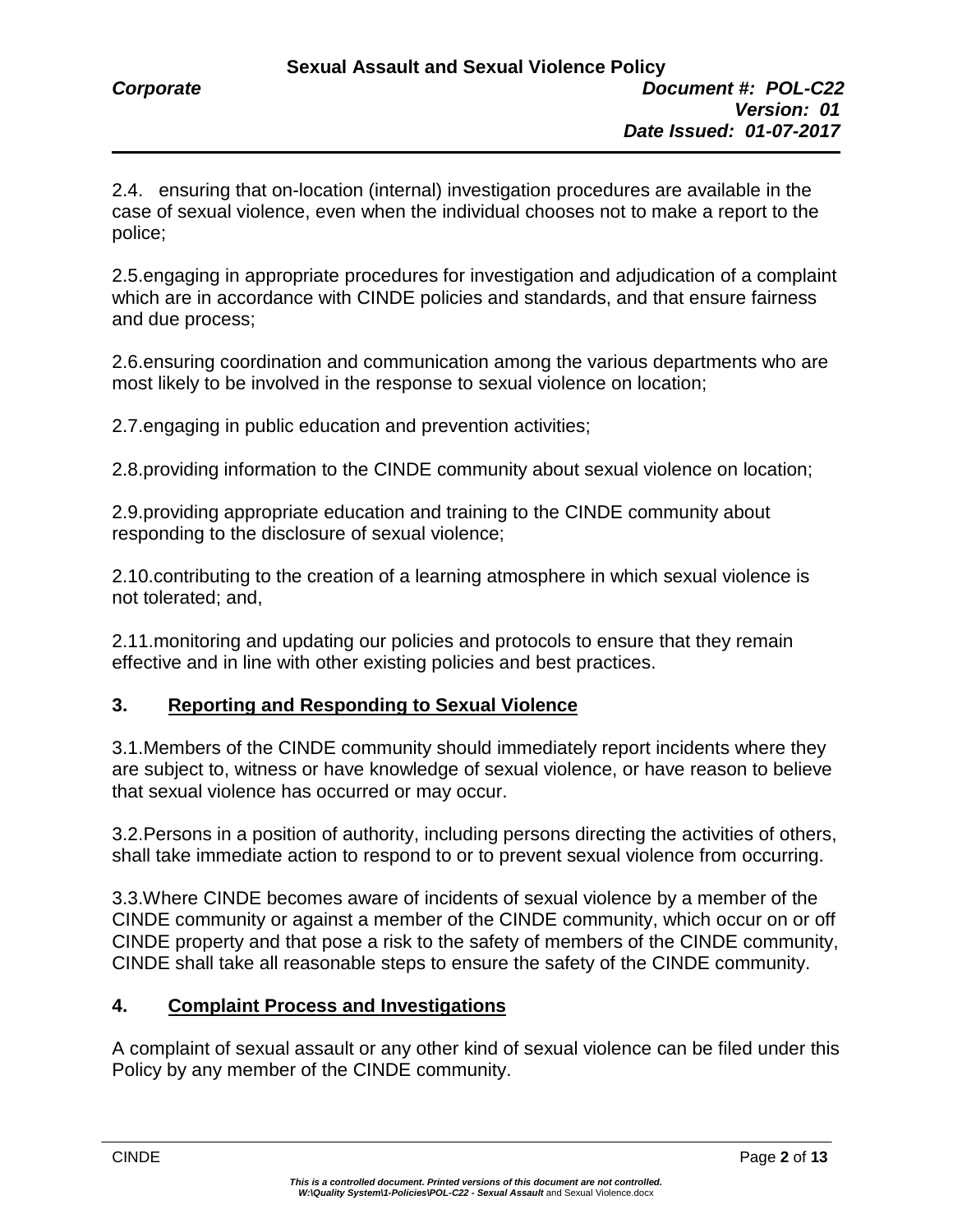2.4. ensuring that on-location (internal) investigation procedures are available in the case of sexual violence, even when the individual chooses not to make a report to the police;

2.5.engaging in appropriate procedures for investigation and adjudication of a complaint which are in accordance with CINDE policies and standards, and that ensure fairness and due process;

2.6.ensuring coordination and communication among the various departments who are most likely to be involved in the response to sexual violence on location;

2.7.engaging in public education and prevention activities;

2.8.providing information to the CINDE community about sexual violence on location;

2.9.providing appropriate education and training to the CINDE community about responding to the disclosure of sexual violence;

2.10.contributing to the creation of a learning atmosphere in which sexual violence is not tolerated; and,

2.11.monitoring and updating our policies and protocols to ensure that they remain effective and in line with other existing policies and best practices.

## **3. Reporting and Responding to Sexual Violence**

3.1.Members of the CINDE community should immediately report incidents where they are subject to, witness or have knowledge of sexual violence, or have reason to believe that sexual violence has occurred or may occur.

3.2.Persons in a position of authority, including persons directing the activities of others, shall take immediate action to respond to or to prevent sexual violence from occurring.

3.3.Where CINDE becomes aware of incidents of sexual violence by a member of the CINDE community or against a member of the CINDE community, which occur on or off CINDE property and that pose a risk to the safety of members of the CINDE community, CINDE shall take all reasonable steps to ensure the safety of the CINDE community.

#### **4. Complaint Process and Investigations**

A complaint of sexual assault or any other kind of sexual violence can be filed under this Policy by any member of the CINDE community.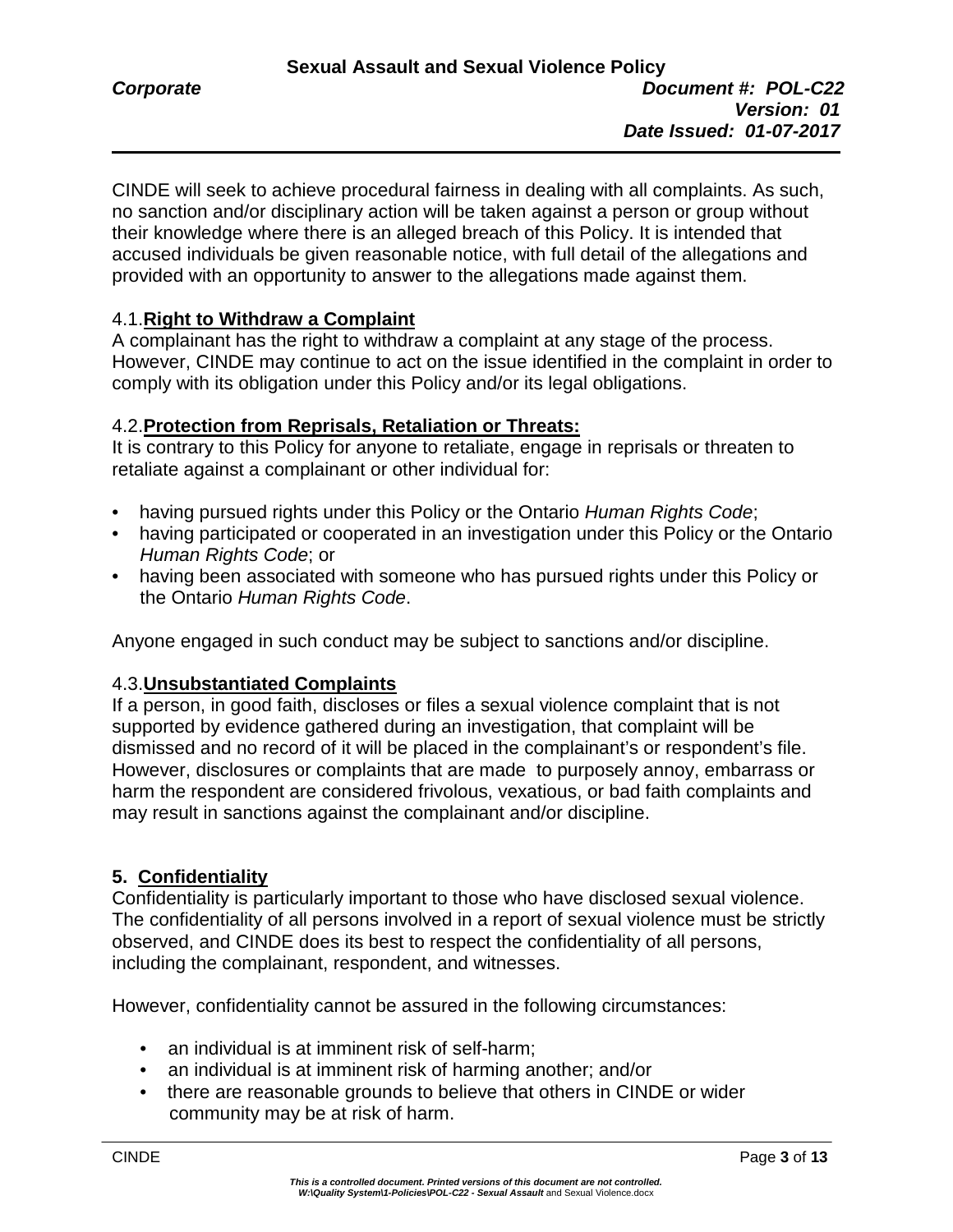CINDE will seek to achieve procedural fairness in dealing with all complaints. As such, no sanction and/or disciplinary action will be taken against a person or group without their knowledge where there is an alleged breach of this Policy. It is intended that accused individuals be given reasonable notice, with full detail of the allegations and provided with an opportunity to answer to the allegations made against them.

# 4.1.**Right to Withdraw a Complaint**

A complainant has the right to withdraw a complaint at any stage of the process. However, CINDE may continue to act on the issue identified in the complaint in order to comply with its obligation under this Policy and/or its legal obligations.

# 4.2.**Protection from Reprisals, Retaliation or Threats:**

It is contrary to this Policy for anyone to retaliate, engage in reprisals or threaten to retaliate against a complainant or other individual for:

- having pursued rights under this Policy or the Ontario *Human Rights Code*;
- having participated or cooperated in an investigation under this Policy or the Ontario *Human Rights Code*; or
- having been associated with someone who has pursued rights under this Policy or the Ontario *Human Rights Code*.

Anyone engaged in such conduct may be subject to sanctions and/or discipline.

## 4.3.**Unsubstantiated Complaints**

If a person, in good faith, discloses or files a sexual violence complaint that is not supported by evidence gathered during an investigation, that complaint will be dismissed and no record of it will be placed in the complainant's or respondent's file. However, disclosures or complaints that are made to purposely annoy, embarrass or harm the respondent are considered frivolous, vexatious, or bad faith complaints and may result in sanctions against the complainant and/or discipline.

# **5. Confidentiality**

Confidentiality is particularly important to those who have disclosed sexual violence. The confidentiality of all persons involved in a report of sexual violence must be strictly observed, and CINDE does its best to respect the confidentiality of all persons, including the complainant, respondent, and witnesses.

However, confidentiality cannot be assured in the following circumstances:

- an individual is at imminent risk of self-harm;
- an individual is at imminent risk of harming another; and/or
- there are reasonable grounds to believe that others in CINDE or wider community may be at risk of harm.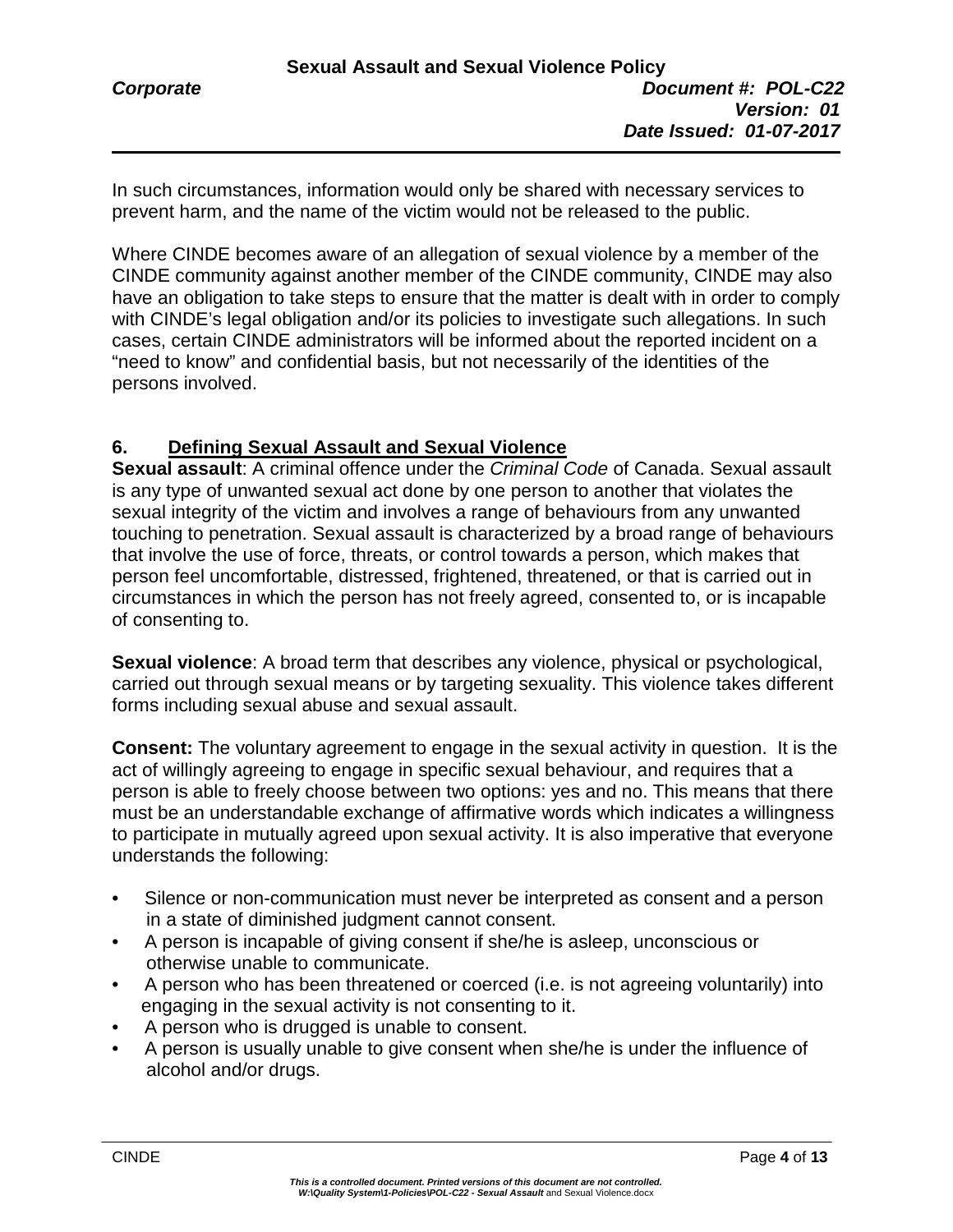In such circumstances, information would only be shared with necessary services to prevent harm, and the name of the victim would not be released to the public.

Where CINDE becomes aware of an allegation of sexual violence by a member of the CINDE community against another member of the CINDE community, CINDE may also have an obligation to take steps to ensure that the matter is dealt with in order to comply with CINDE's legal obligation and/or its policies to investigate such allegations. In such cases, certain CINDE administrators will be informed about the reported incident on a "need to know" and confidential basis, but not necessarily of the identities of the persons involved.

# **6. Defining Sexual Assault and Sexual Violence**

**Sexual assault**: A criminal offence under the *Criminal Code* of Canada. Sexual assault is any type of unwanted sexual act done by one person to another that violates the sexual integrity of the victim and involves a range of behaviours from any unwanted touching to penetration. Sexual assault is characterized by a broad range of behaviours that involve the use of force, threats, or control towards a person, which makes that person feel uncomfortable, distressed, frightened, threatened, or that is carried out in circumstances in which the person has not freely agreed, consented to, or is incapable of consenting to.

**Sexual violence**: A broad term that describes any violence, physical or psychological, carried out through sexual means or by targeting sexuality. This violence takes different forms including sexual abuse and sexual assault.

**Consent:** The voluntary agreement to engage in the sexual activity in question. It is the act of willingly agreeing to engage in specific sexual behaviour, and requires that a person is able to freely choose between two options: yes and no. This means that there must be an understandable exchange of affirmative words which indicates a willingness to participate in mutually agreed upon sexual activity. It is also imperative that everyone understands the following:

- Silence or non-communication must never be interpreted as consent and a person in a state of diminished judgment cannot consent.
- A person is incapable of giving consent if she/he is asleep, unconscious or otherwise unable to communicate.
- A person who has been threatened or coerced (i.e. is not agreeing voluntarily) into engaging in the sexual activity is not consenting to it.
- A person who is drugged is unable to consent.
- A person is usually unable to give consent when she/he is under the influence of alcohol and/or drugs.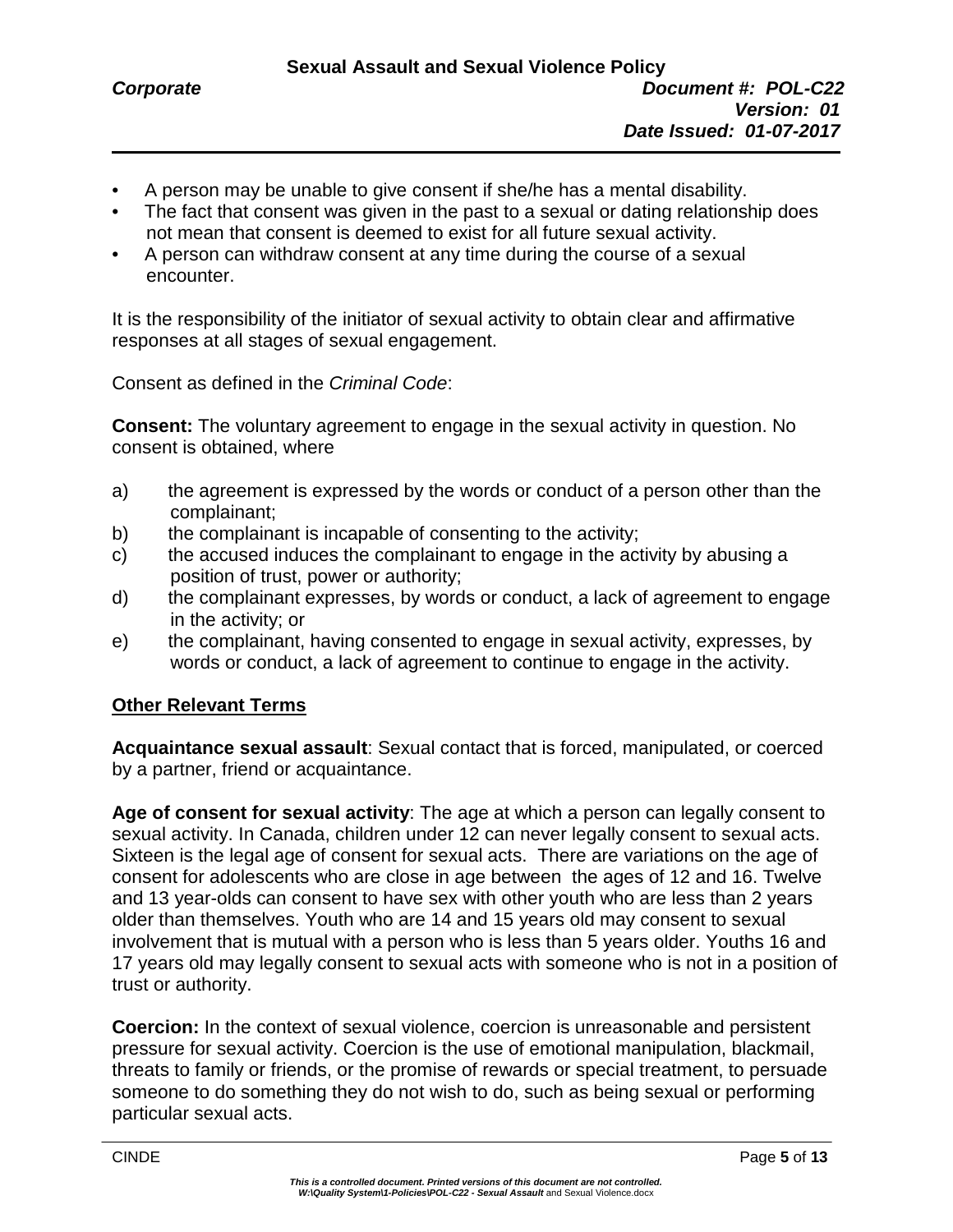- A person may be unable to give consent if she/he has a mental disability.
- The fact that consent was given in the past to a sexual or dating relationship does not mean that consent is deemed to exist for all future sexual activity.
- A person can withdraw consent at any time during the course of a sexual encounter.

It is the responsibility of the initiator of sexual activity to obtain clear and affirmative responses at all stages of sexual engagement.

Consent as defined in the *Criminal Code*:

**Consent:** The voluntary agreement to engage in the sexual activity in question. No consent is obtained, where

- a) the agreement is expressed by the words or conduct of a person other than the complainant;
- b) the complainant is incapable of consenting to the activity;
- c) the accused induces the complainant to engage in the activity by abusing a position of trust, power or authority;
- d) the complainant expresses, by words or conduct, a lack of agreement to engage in the activity; or
- e) the complainant, having consented to engage in sexual activity, expresses, by words or conduct, a lack of agreement to continue to engage in the activity.

#### **Other Relevant Terms**

**Acquaintance sexual assault**: Sexual contact that is forced, manipulated, or coerced by a partner, friend or acquaintance.

**Age of consent for sexual activity**: The age at which a person can legally consent to sexual activity. In Canada, children under 12 can never legally consent to sexual acts. Sixteen is the legal age of consent for sexual acts. There are variations on the age of consent for adolescents who are close in age between the ages of 12 and 16. Twelve and 13 year-olds can consent to have sex with other youth who are less than 2 years older than themselves. Youth who are 14 and 15 years old may consent to sexual involvement that is mutual with a person who is less than 5 years older. Youths 16 and 17 years old may legally consent to sexual acts with someone who is not in a position of trust or authority.

**Coercion:** In the context of sexual violence, coercion is unreasonable and persistent pressure for sexual activity. Coercion is the use of emotional manipulation, blackmail, threats to family or friends, or the promise of rewards or special treatment, to persuade someone to do something they do not wish to do, such as being sexual or performing particular sexual acts.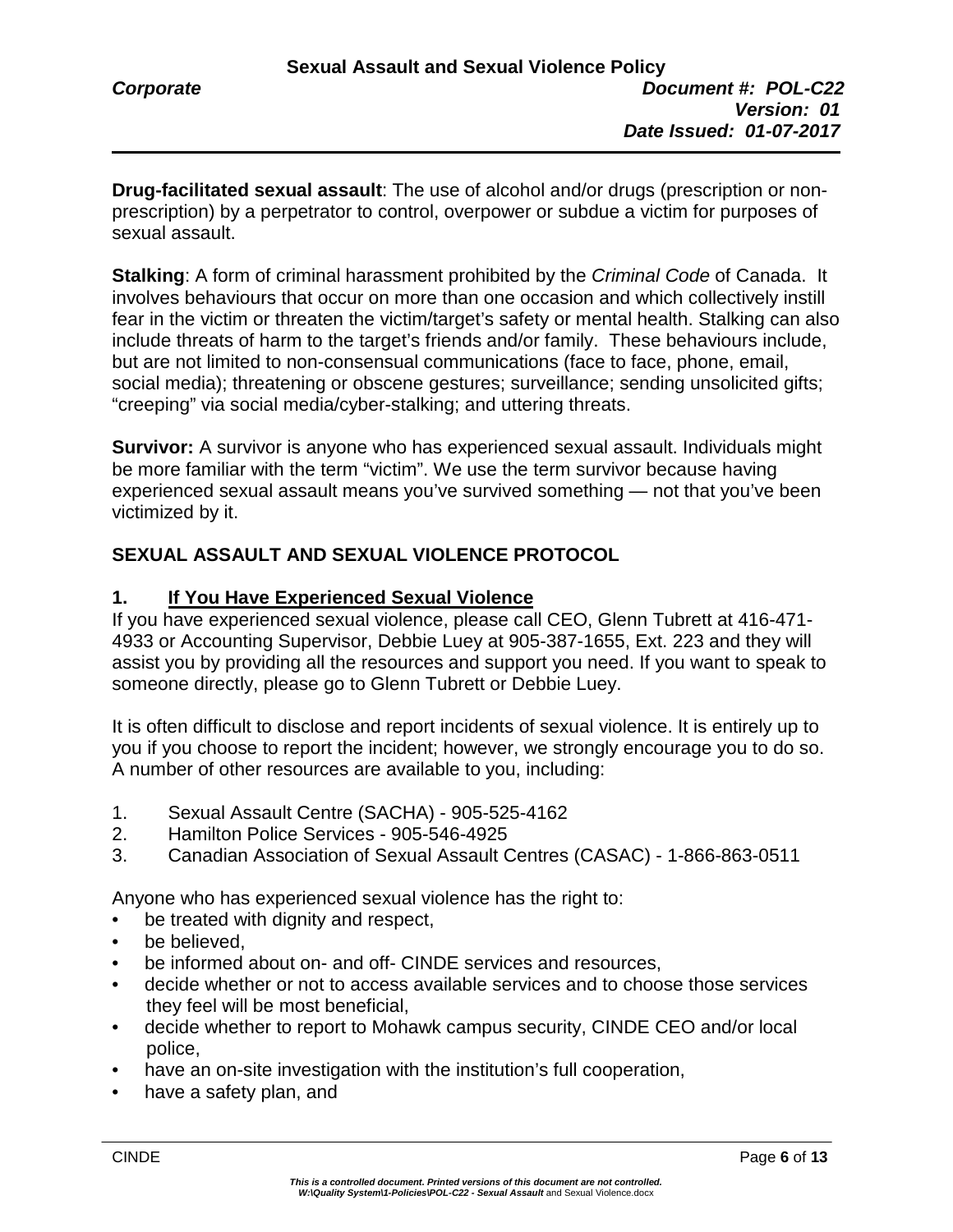**Drug-facilitated sexual assault**: The use of alcohol and/or drugs (prescription or nonprescription) by a perpetrator to control, overpower or subdue a victim for purposes of sexual assault.

**Stalking**: A form of criminal harassment prohibited by the *Criminal Code* of Canada. It involves behaviours that occur on more than one occasion and which collectively instill fear in the victim or threaten the victim/target's safety or mental health. Stalking can also include threats of harm to the target's friends and/or family. These behaviours include, but are not limited to non-consensual communications (face to face, phone, email, social media); threatening or obscene gestures; surveillance; sending unsolicited gifts; "creeping" via social media/cyber-stalking; and uttering threats.

**Survivor:** A survivor is anyone who has experienced sexual assault. Individuals might be more familiar with the term "victim". We use the term survivor because having experienced sexual assault means you've survived something — not that you've been victimized by it.

# **SEXUAL ASSAULT AND SEXUAL VIOLENCE PROTOCOL**

## **1. If You Have Experienced Sexual Violence**

If you have experienced sexual violence, please call CEO, Glenn Tubrett at 416-471- 4933 or Accounting Supervisor, Debbie Luey at 905-387-1655, Ext. 223 and they will assist you by providing all the resources and support you need. If you want to speak to someone directly, please go to Glenn Tubrett or Debbie Luey.

It is often difficult to disclose and report incidents of sexual violence. It is entirely up to you if you choose to report the incident; however, we strongly encourage you to do so. A number of other resources are available to you, including:

- 1. Sexual Assault Centre (SACHA) 905-525-4162
- 2. Hamilton Police Services 905-546-4925
- 3. Canadian Association of Sexual Assault Centres (CASAC) 1-866-863-0511

Anyone who has experienced sexual violence has the right to:

- be treated with dignity and respect,
- be believed.
- be informed about on- and off- CINDE services and resources.
- decide whether or not to access available services and to choose those services they feel will be most beneficial,
- decide whether to report to Mohawk campus security, CINDE CEO and/or local police,
- have an on-site investigation with the institution's full cooperation,
- have a safety plan, and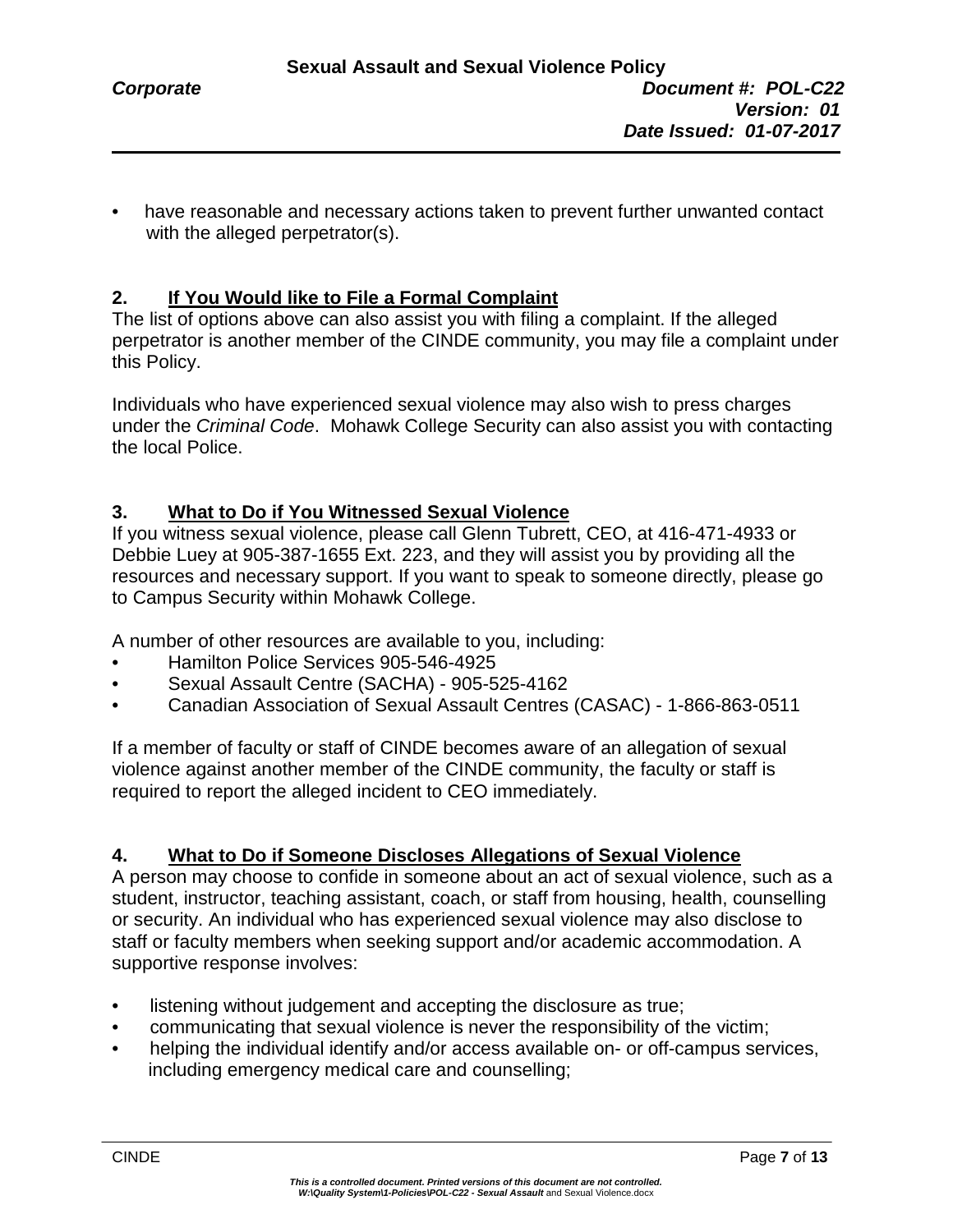have reasonable and necessary actions taken to prevent further unwanted contact with the alleged perpetrator(s).

# **2. If You Would like to File a Formal Complaint**

The list of options above can also assist you with filing a complaint. If the alleged perpetrator is another member of the CINDE community, you may file a complaint under this Policy.

Individuals who have experienced sexual violence may also wish to press charges under the *Criminal Code*. Mohawk College Security can also assist you with contacting the local Police.

## **3. What to Do if You Witnessed Sexual Violence**

If you witness sexual violence, please call Glenn Tubrett, CEO, at 416-471-4933 or Debbie Luey at 905-387-1655 Ext. 223, and they will assist you by providing all the resources and necessary support. If you want to speak to someone directly, please go to Campus Security within Mohawk College.

A number of other resources are available to you, including:

- Hamilton Police Services 905-546-4925
- Sexual Assault Centre (SACHA) 905-525-4162
- Canadian Association of Sexual Assault Centres (CASAC) 1-866-863-0511

If a member of faculty or staff of CINDE becomes aware of an allegation of sexual violence against another member of the CINDE community, the faculty or staff is required to report the alleged incident to CEO immediately.

## **4. What to Do if Someone Discloses Allegations of Sexual Violence**

A person may choose to confide in someone about an act of sexual violence, such as a student, instructor, teaching assistant, coach, or staff from housing, health, counselling or security. An individual who has experienced sexual violence may also disclose to staff or faculty members when seeking support and/or academic accommodation. A supportive response involves:

- listening without judgement and accepting the disclosure as true;
- communicating that sexual violence is never the responsibility of the victim;
- helping the individual identify and/or access available on- or off-campus services, including emergency medical care and counselling;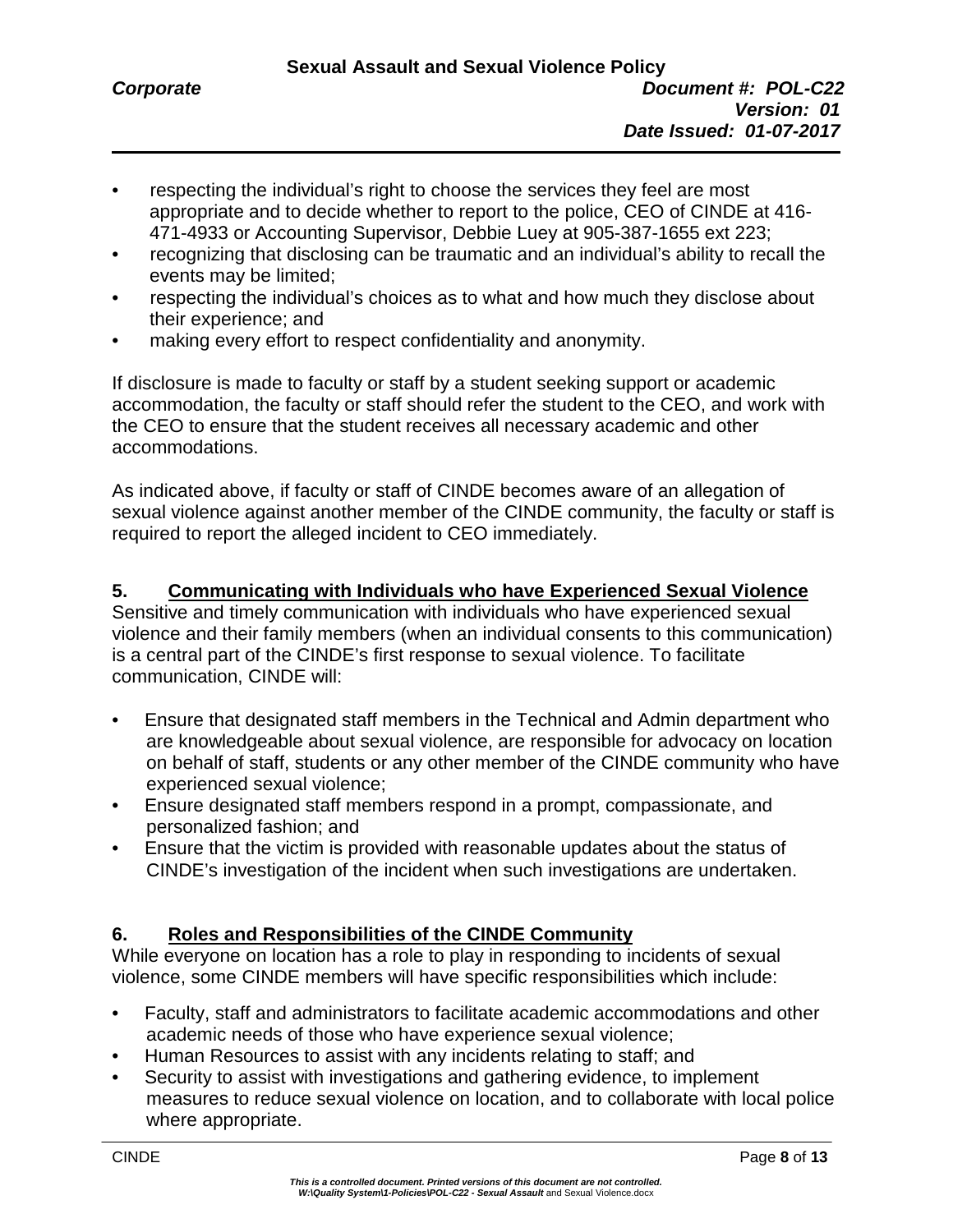- respecting the individual's right to choose the services they feel are most appropriate and to decide whether to report to the police, CEO of CINDE at 416- 471-4933 or Accounting Supervisor, Debbie Luey at 905-387-1655 ext 223;
- recognizing that disclosing can be traumatic and an individual's ability to recall the events may be limited;
- respecting the individual's choices as to what and how much they disclose about their experience; and
- making every effort to respect confidentiality and anonymity.

If disclosure is made to faculty or staff by a student seeking support or academic accommodation, the faculty or staff should refer the student to the CEO, and work with the CEO to ensure that the student receives all necessary academic and other accommodations.

As indicated above, if faculty or staff of CINDE becomes aware of an allegation of sexual violence against another member of the CINDE community, the faculty or staff is required to report the alleged incident to CEO immediately.

# **5. Communicating with Individuals who have Experienced Sexual Violence**

Sensitive and timely communication with individuals who have experienced sexual violence and their family members (when an individual consents to this communication) is a central part of the CINDE's first response to sexual violence. To facilitate communication, CINDE will:

- Ensure that designated staff members in the Technical and Admin department who are knowledgeable about sexual violence, are responsible for advocacy on location on behalf of staff, students or any other member of the CINDE community who have experienced sexual violence;
- Ensure designated staff members respond in a prompt, compassionate, and personalized fashion; and
- Ensure that the victim is provided with reasonable updates about the status of CINDE's investigation of the incident when such investigations are undertaken.

# **6. Roles and Responsibilities of the CINDE Community**

While everyone on location has a role to play in responding to incidents of sexual violence, some CINDE members will have specific responsibilities which include:

- Faculty, staff and administrators to facilitate academic accommodations and other academic needs of those who have experience sexual violence;
- Human Resources to assist with any incidents relating to staff; and
- Security to assist with investigations and gathering evidence, to implement measures to reduce sexual violence on location, and to collaborate with local police where appropriate.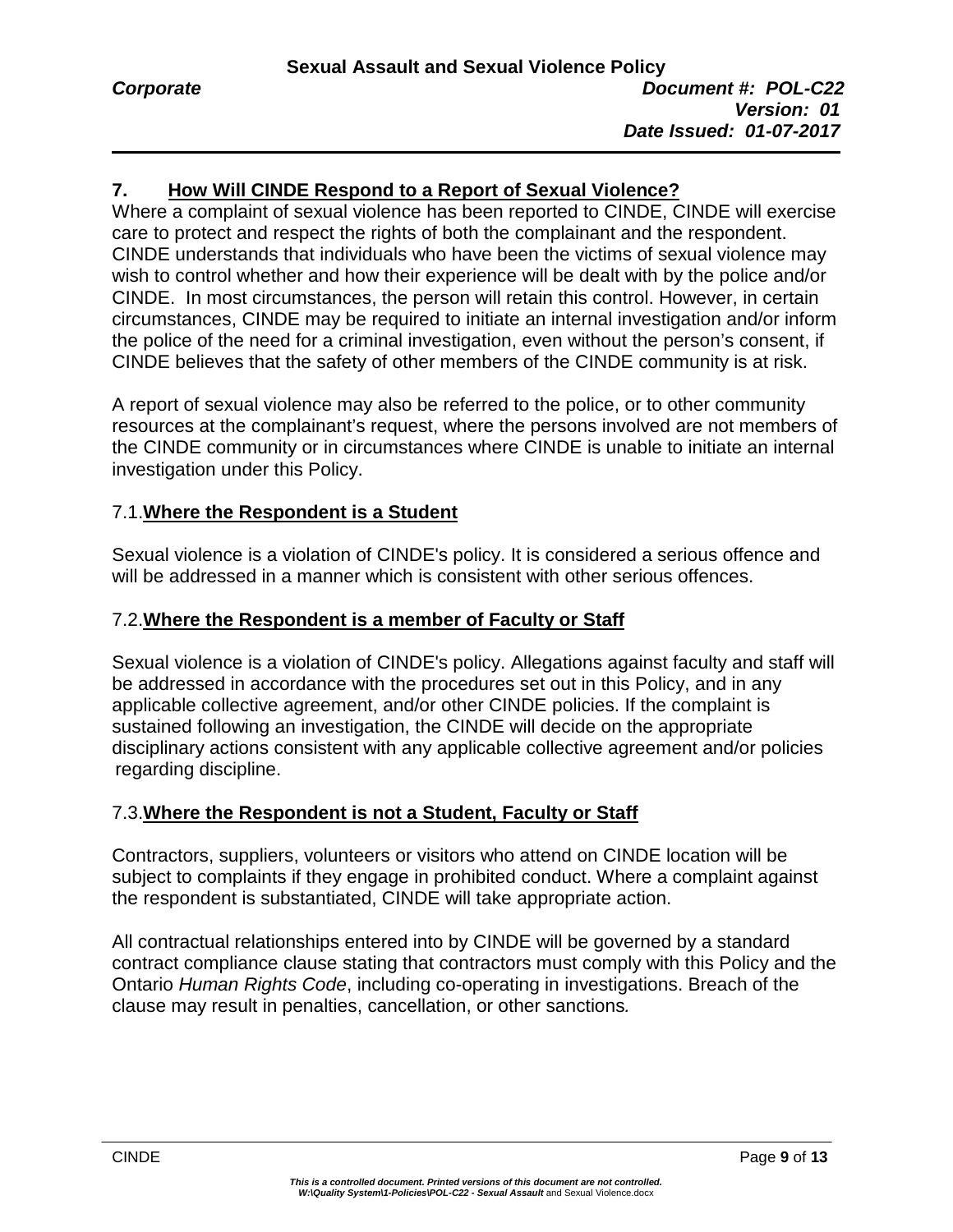# **7. How Will CINDE Respond to a Report of Sexual Violence?**

Where a complaint of sexual violence has been reported to CINDE, CINDE will exercise care to protect and respect the rights of both the complainant and the respondent. CINDE understands that individuals who have been the victims of sexual violence may wish to control whether and how their experience will be dealt with by the police and/or CINDE. In most circumstances, the person will retain this control. However, in certain circumstances, CINDE may be required to initiate an internal investigation and/or inform the police of the need for a criminal investigation, even without the person's consent, if CINDE believes that the safety of other members of the CINDE community is at risk.

A report of sexual violence may also be referred to the police, or to other community resources at the complainant's request, where the persons involved are not members of the CINDE community or in circumstances where CINDE is unable to initiate an internal investigation under this Policy.

# 7.1.**Where the Respondent is a Student**

Sexual violence is a violation of CINDE's policy. It is considered a serious offence and will be addressed in a manner which is consistent with other serious offences.

## 7.2.**Where the Respondent is a member of Faculty or Staff**

Sexual violence is a violation of CINDE's policy. Allegations against faculty and staff will be addressed in accordance with the procedures set out in this Policy, and in any applicable collective agreement, and/or other CINDE policies. If the complaint is sustained following an investigation, the CINDE will decide on the appropriate disciplinary actions consistent with any applicable collective agreement and/or policies regarding discipline.

# 7.3.**Where the Respondent is not a Student, Faculty or Staff**

Contractors, suppliers, volunteers or visitors who attend on CINDE location will be subject to complaints if they engage in prohibited conduct. Where a complaint against the respondent is substantiated, CINDE will take appropriate action.

All contractual relationships entered into by CINDE will be governed by a standard contract compliance clause stating that contractors must comply with this Policy and the Ontario *Human Rights Code*, including co-operating in investigations. Breach of the clause may result in penalties, cancellation, or other sanctions*.*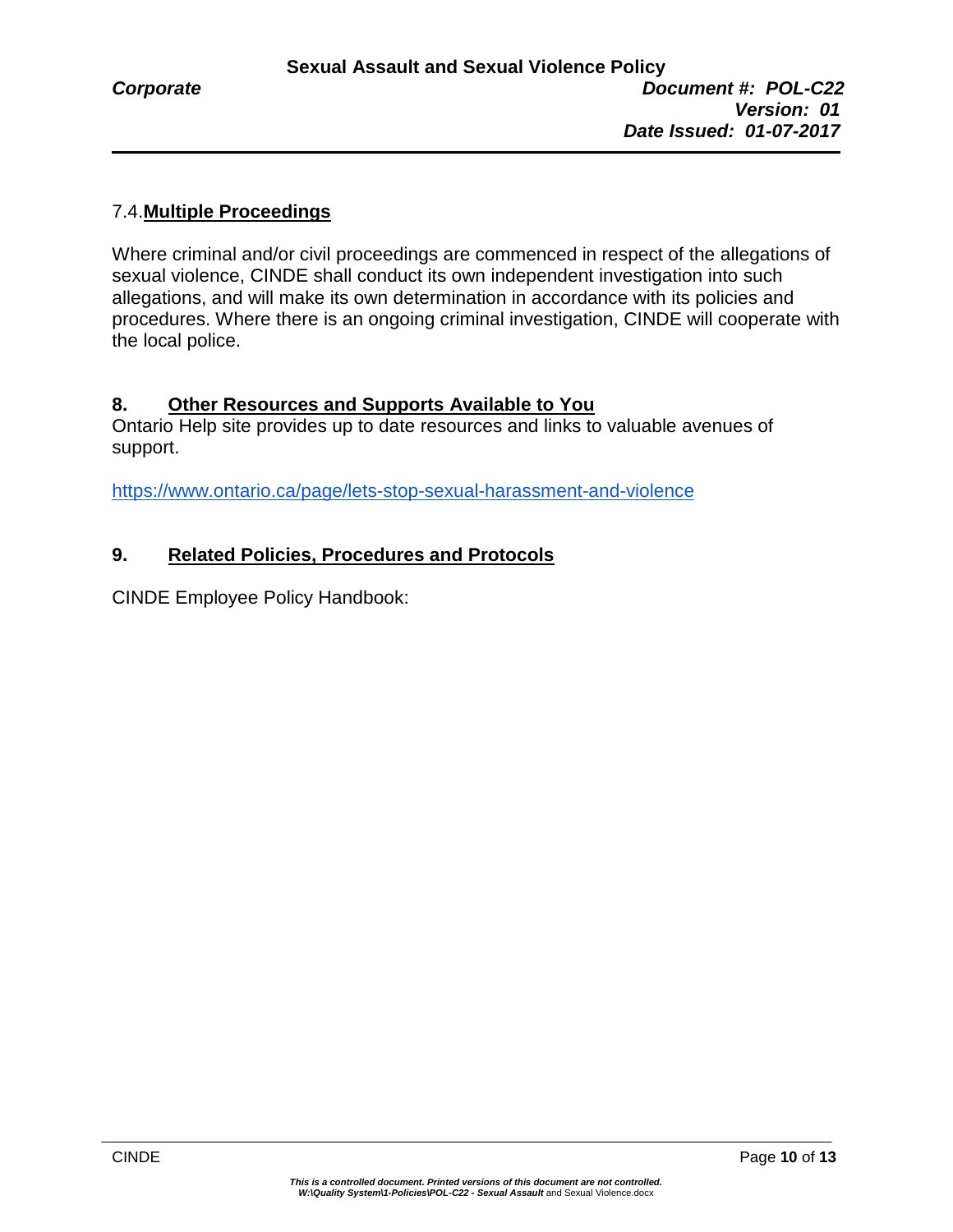# 7.4.**Multiple Proceedings**

Where criminal and/or civil proceedings are commenced in respect of the allegations of sexual violence, CINDE shall conduct its own independent investigation into such allegations, and will make its own determination in accordance with its policies and procedures. Where there is an ongoing criminal investigation, CINDE will cooperate with the local police.

# **8. Other Resources and Supports Available to You**

Ontario Help site provides up to date resources and links to valuable avenues of support.

<https://www.ontario.ca/page/lets-stop-sexual-harassment-and-violence>

# **9. Related Policies, Procedures and Protocols**

CINDE Employee Policy Handbook: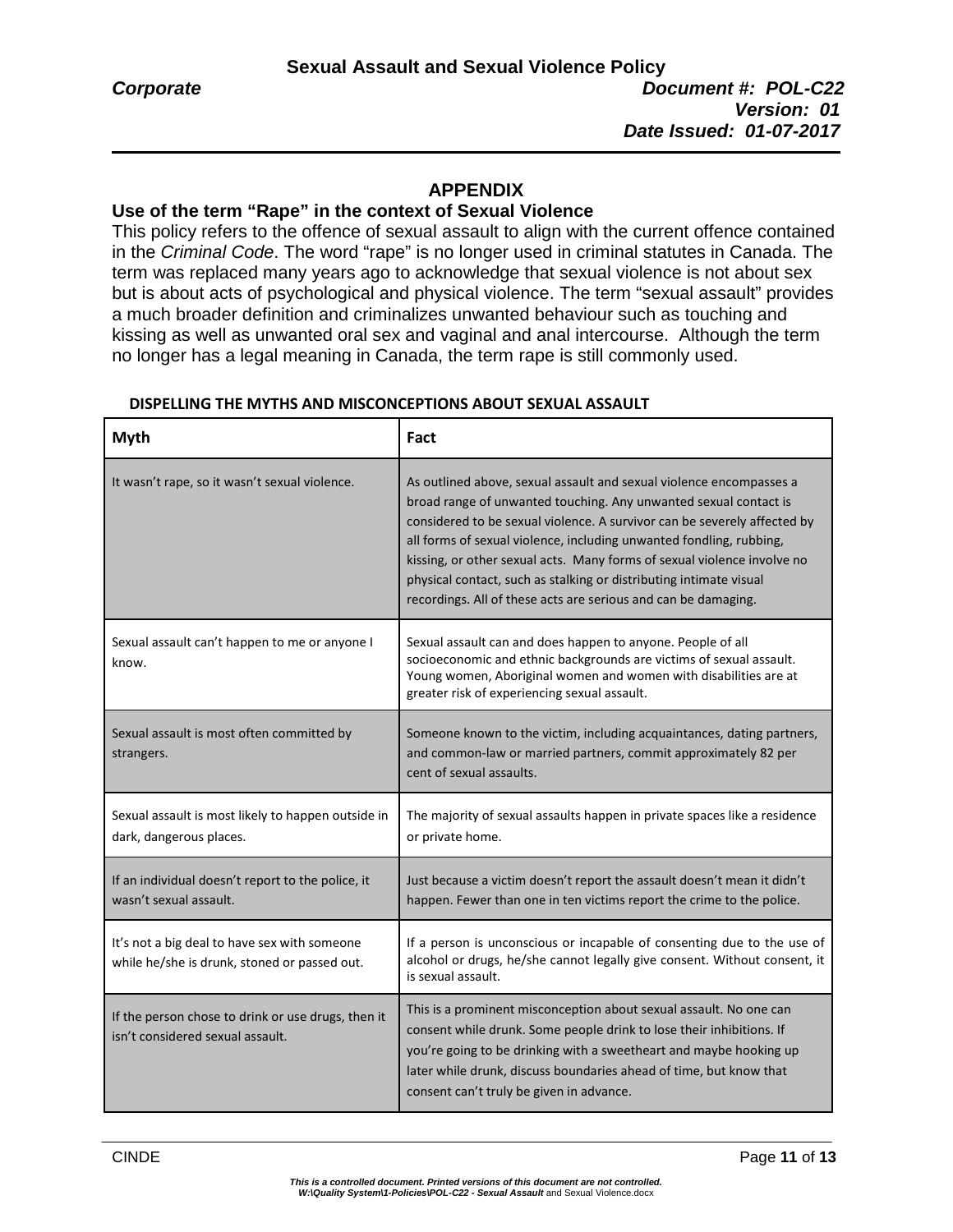## **APPENDIX**

#### **Use of the term "Rape" in the context of Sexual Violence**

This policy refers to the offence of sexual assault to align with the current offence contained in the *Criminal Code*. The word "rape" is no longer used in criminal statutes in Canada. The term was replaced many years ago to acknowledge that sexual violence is not about sex but is about acts of psychological and physical violence. The term "sexual assault" provides a much broader definition and criminalizes unwanted behaviour such as touching and kissing as well as unwanted oral sex and vaginal and anal intercourse. Although the term no longer has a legal meaning in Canada, the term rape is still commonly used.

| <b>Myth</b>                                                                                  | Fact                                                                                                                                                                                                                                                                                                                                                                                                                                                                                                          |
|----------------------------------------------------------------------------------------------|---------------------------------------------------------------------------------------------------------------------------------------------------------------------------------------------------------------------------------------------------------------------------------------------------------------------------------------------------------------------------------------------------------------------------------------------------------------------------------------------------------------|
| It wasn't rape, so it wasn't sexual violence.                                                | As outlined above, sexual assault and sexual violence encompasses a<br>broad range of unwanted touching. Any unwanted sexual contact is<br>considered to be sexual violence. A survivor can be severely affected by<br>all forms of sexual violence, including unwanted fondling, rubbing,<br>kissing, or other sexual acts. Many forms of sexual violence involve no<br>physical contact, such as stalking or distributing intimate visual<br>recordings. All of these acts are serious and can be damaging. |
| Sexual assault can't happen to me or anyone I<br>know.                                       | Sexual assault can and does happen to anyone. People of all<br>socioeconomic and ethnic backgrounds are victims of sexual assault.<br>Young women, Aboriginal women and women with disabilities are at<br>greater risk of experiencing sexual assault.                                                                                                                                                                                                                                                        |
| Sexual assault is most often committed by<br>strangers.                                      | Someone known to the victim, including acquaintances, dating partners,<br>and common-law or married partners, commit approximately 82 per<br>cent of sexual assaults.                                                                                                                                                                                                                                                                                                                                         |
| Sexual assault is most likely to happen outside in<br>dark, dangerous places.                | The majority of sexual assaults happen in private spaces like a residence<br>or private home.                                                                                                                                                                                                                                                                                                                                                                                                                 |
| If an individual doesn't report to the police, it<br>wasn't sexual assault.                  | Just because a victim doesn't report the assault doesn't mean it didn't<br>happen. Fewer than one in ten victims report the crime to the police.                                                                                                                                                                                                                                                                                                                                                              |
| It's not a big deal to have sex with someone<br>while he/she is drunk, stoned or passed out. | If a person is unconscious or incapable of consenting due to the use of<br>alcohol or drugs, he/she cannot legally give consent. Without consent, it<br>is sexual assault.                                                                                                                                                                                                                                                                                                                                    |
| If the person chose to drink or use drugs, then it<br>isn't considered sexual assault.       | This is a prominent misconception about sexual assault. No one can<br>consent while drunk. Some people drink to lose their inhibitions. If<br>you're going to be drinking with a sweetheart and maybe hooking up<br>later while drunk, discuss boundaries ahead of time, but know that<br>consent can't truly be given in advance.                                                                                                                                                                            |

#### **DISPELLING THE MYTHS AND MISCONCEPTIONS ABOUT SEXUAL ASSAULT**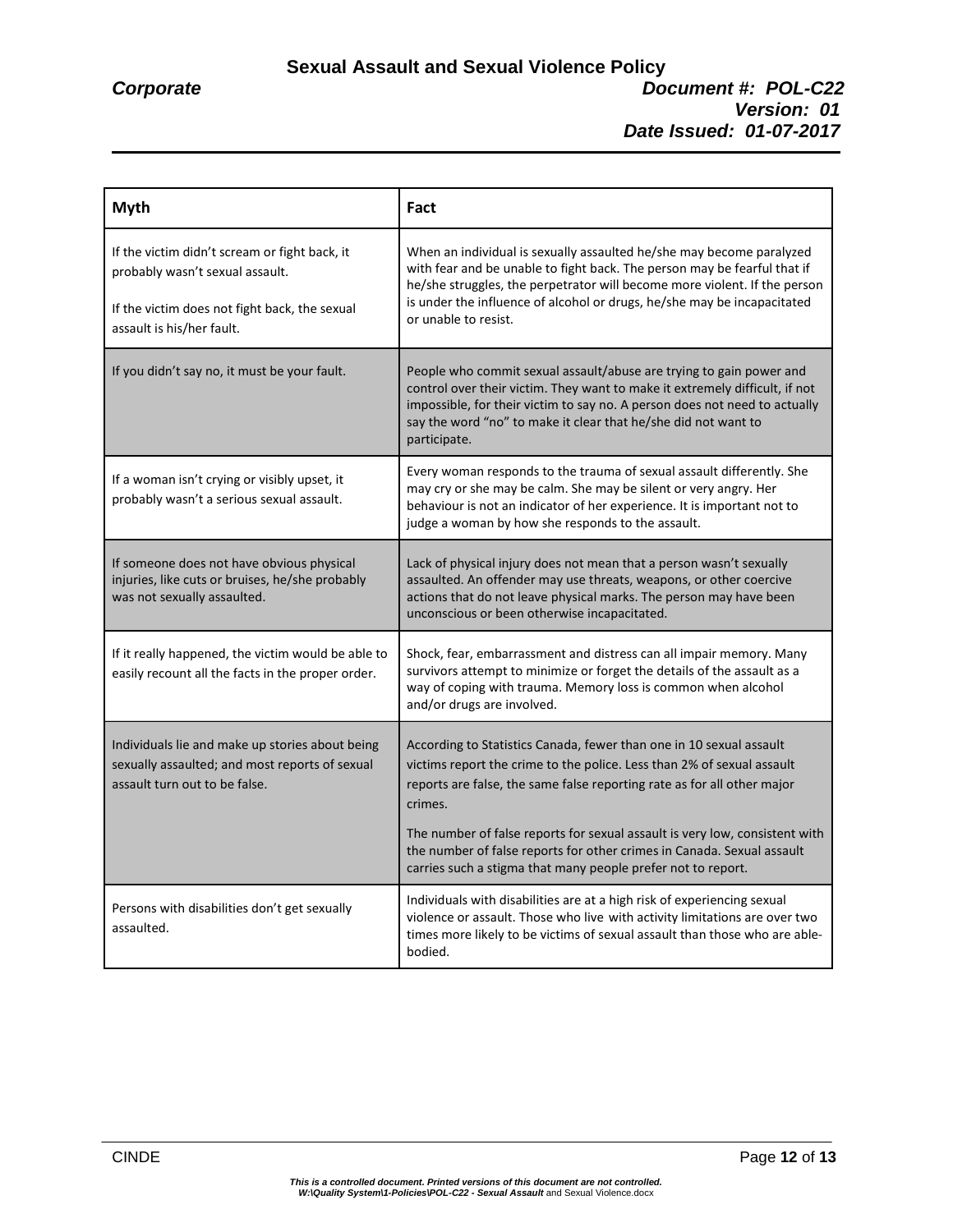#### **Sexual Assault and Sexual Violence Policy** *Corporate Document #: POL-C22 Version: 01 Date Issued: 01-07-2017*

| <b>Myth</b>                                                                                                                                                    | Fact                                                                                                                                                                                                                                                                                                                             |
|----------------------------------------------------------------------------------------------------------------------------------------------------------------|----------------------------------------------------------------------------------------------------------------------------------------------------------------------------------------------------------------------------------------------------------------------------------------------------------------------------------|
| If the victim didn't scream or fight back, it<br>probably wasn't sexual assault.<br>If the victim does not fight back, the sexual<br>assault is his/her fault. | When an individual is sexually assaulted he/she may become paralyzed<br>with fear and be unable to fight back. The person may be fearful that if<br>he/she struggles, the perpetrator will become more violent. If the person<br>is under the influence of alcohol or drugs, he/she may be incapacitated<br>or unable to resist. |
| If you didn't say no, it must be your fault.                                                                                                                   | People who commit sexual assault/abuse are trying to gain power and<br>control over their victim. They want to make it extremely difficult, if not<br>impossible, for their victim to say no. A person does not need to actually<br>say the word "no" to make it clear that he/she did not want to<br>participate.               |
| If a woman isn't crying or visibly upset, it<br>probably wasn't a serious sexual assault.                                                                      | Every woman responds to the trauma of sexual assault differently. She<br>may cry or she may be calm. She may be silent or very angry. Her<br>behaviour is not an indicator of her experience. It is important not to<br>judge a woman by how she responds to the assault.                                                        |
| If someone does not have obvious physical<br>injuries, like cuts or bruises, he/she probably<br>was not sexually assaulted.                                    | Lack of physical injury does not mean that a person wasn't sexually<br>assaulted. An offender may use threats, weapons, or other coercive<br>actions that do not leave physical marks. The person may have been<br>unconscious or been otherwise incapacitated.                                                                  |
| If it really happened, the victim would be able to<br>easily recount all the facts in the proper order.                                                        | Shock, fear, embarrassment and distress can all impair memory. Many<br>survivors attempt to minimize or forget the details of the assault as a<br>way of coping with trauma. Memory loss is common when alcohol<br>and/or drugs are involved.                                                                                    |
| Individuals lie and make up stories about being<br>sexually assaulted; and most reports of sexual<br>assault turn out to be false.                             | According to Statistics Canada, fewer than one in 10 sexual assault<br>victims report the crime to the police. Less than 2% of sexual assault<br>reports are false, the same false reporting rate as for all other major<br>crimes.                                                                                              |
|                                                                                                                                                                | The number of false reports for sexual assault is very low, consistent with<br>the number of false reports for other crimes in Canada. Sexual assault<br>carries such a stigma that many people prefer not to report.                                                                                                            |
| Persons with disabilities don't get sexually<br>assaulted.                                                                                                     | Individuals with disabilities are at a high risk of experiencing sexual<br>violence or assault. Those who live with activity limitations are over two<br>times more likely to be victims of sexual assault than those who are able-<br>bodied.                                                                                   |